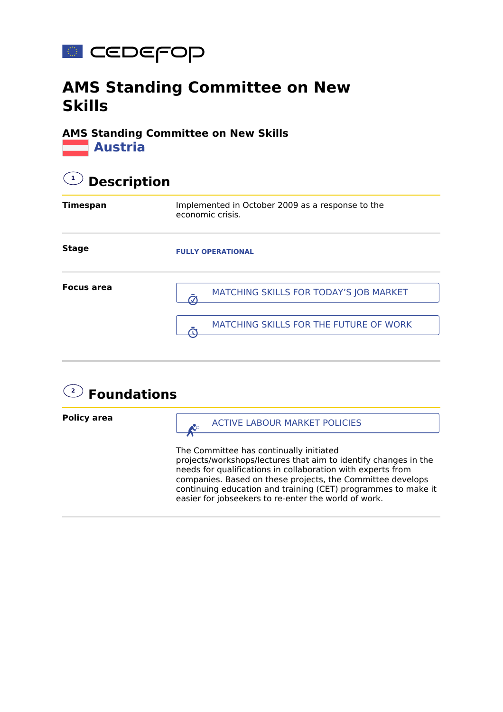

## **AMS Standing Committee on New Skills**

## **AMS Standing Committee on New Skills Austria**

| <b>Description</b> |                                                                      |  |
|--------------------|----------------------------------------------------------------------|--|
| <b>Timespan</b>    | Implemented in October 2009 as a response to the<br>economic crisis. |  |
| <b>Stage</b>       | <b>FULLY OPERATIONAL</b>                                             |  |
| <b>Focus area</b>  | MATCHING SKILLS FOR TODAY'S JOB MARKET                               |  |
|                    | MATCHING SKILLS FOR THE FUTURE OF WORK                               |  |

## **2 Foundations Policy area** The Committee has continually initiated projects/workshops/lectures that aim to identify changes in the needs for qualifications in collaboration with experts from companies. Based on these projects, the Committee develops continuing education and training (CET) programmes to make it easier for jobseekers to re-enter the world of work. ACTIVE LABOUR MARKET POLICIES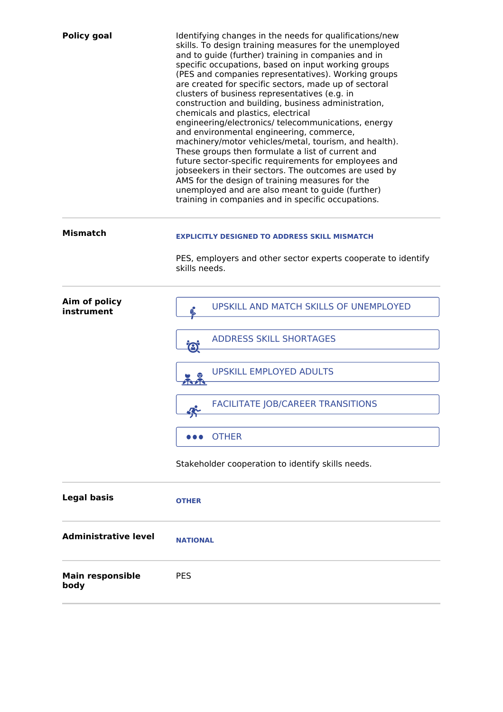| <b>Policy goal</b>          | Identifying changes in the needs for qualifications/new<br>skills. To design training measures for the unemployed<br>and to guide (further) training in companies and in<br>specific occupations, based on input working groups<br>(PES and companies representatives). Working groups<br>are created for specific sectors, made up of sectoral<br>clusters of business representatives (e.g. in<br>construction and building, business administration,<br>chemicals and plastics, electrical<br>engineering/electronics/ telecommunications, energy<br>and environmental engineering, commerce,<br>machinery/motor vehicles/metal, tourism, and health).<br>These groups then formulate a list of current and<br>future sector-specific requirements for employees and<br>jobseekers in their sectors. The outcomes are used by<br>AMS for the design of training measures for the<br>unemployed and are also meant to guide (further)<br>training in companies and in specific occupations. |
|-----------------------------|-----------------------------------------------------------------------------------------------------------------------------------------------------------------------------------------------------------------------------------------------------------------------------------------------------------------------------------------------------------------------------------------------------------------------------------------------------------------------------------------------------------------------------------------------------------------------------------------------------------------------------------------------------------------------------------------------------------------------------------------------------------------------------------------------------------------------------------------------------------------------------------------------------------------------------------------------------------------------------------------------|
| <b>Mismatch</b>             | <b>EXPLICITLY DESIGNED TO ADDRESS SKILL MISMATCH</b>                                                                                                                                                                                                                                                                                                                                                                                                                                                                                                                                                                                                                                                                                                                                                                                                                                                                                                                                          |
|                             | PES, employers and other sector experts cooperate to identify<br>skills needs.                                                                                                                                                                                                                                                                                                                                                                                                                                                                                                                                                                                                                                                                                                                                                                                                                                                                                                                |
| Aim of policy<br>instrument | UPSKILL AND MATCH SKILLS OF UNEMPLOYED                                                                                                                                                                                                                                                                                                                                                                                                                                                                                                                                                                                                                                                                                                                                                                                                                                                                                                                                                        |
|                             | <b>ADDRESS SKILL SHORTAGES</b><br>$\bigodot$                                                                                                                                                                                                                                                                                                                                                                                                                                                                                                                                                                                                                                                                                                                                                                                                                                                                                                                                                  |
|                             | <b>UPSKILL EMPLOYED ADULTS</b>                                                                                                                                                                                                                                                                                                                                                                                                                                                                                                                                                                                                                                                                                                                                                                                                                                                                                                                                                                |
|                             | <b>FACILITATE JOB/CAREER TRANSITIONS</b>                                                                                                                                                                                                                                                                                                                                                                                                                                                                                                                                                                                                                                                                                                                                                                                                                                                                                                                                                      |
|                             | <b>OTHER</b>                                                                                                                                                                                                                                                                                                                                                                                                                                                                                                                                                                                                                                                                                                                                                                                                                                                                                                                                                                                  |
|                             | Stakeholder cooperation to identify skills needs.                                                                                                                                                                                                                                                                                                                                                                                                                                                                                                                                                                                                                                                                                                                                                                                                                                                                                                                                             |
| <b>Legal basis</b>          | <b>OTHER</b>                                                                                                                                                                                                                                                                                                                                                                                                                                                                                                                                                                                                                                                                                                                                                                                                                                                                                                                                                                                  |
| <b>Administrative level</b> | <b>NATIONAL</b>                                                                                                                                                                                                                                                                                                                                                                                                                                                                                                                                                                                                                                                                                                                                                                                                                                                                                                                                                                               |
| <b>Main responsible</b>     | <b>PES</b>                                                                                                                                                                                                                                                                                                                                                                                                                                                                                                                                                                                                                                                                                                                                                                                                                                                                                                                                                                                    |

**body**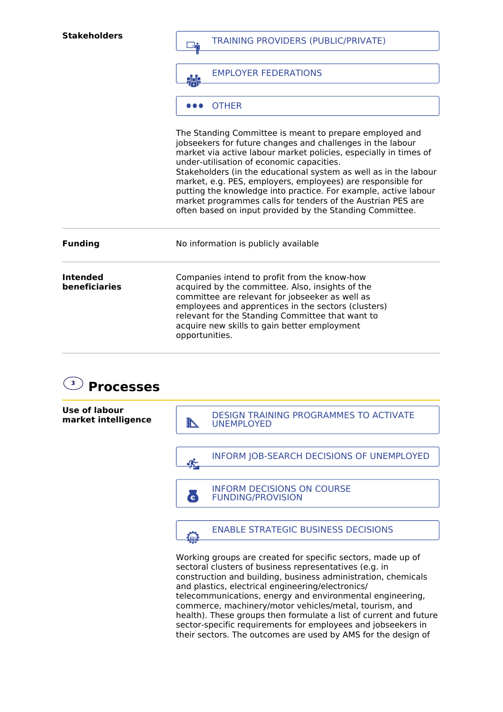| <b>Stakeholders</b>              | <b>TRAINING PROVIDERS (PUBLIC/PRIVATE)</b><br><b>EMPLOYER FEDERATIONS</b>                                                                                                                                                                                                                                                                                                                                                                                                                                    |  |
|----------------------------------|--------------------------------------------------------------------------------------------------------------------------------------------------------------------------------------------------------------------------------------------------------------------------------------------------------------------------------------------------------------------------------------------------------------------------------------------------------------------------------------------------------------|--|
|                                  |                                                                                                                                                                                                                                                                                                                                                                                                                                                                                                              |  |
|                                  | <b>OTHER</b><br>The Standing Committee is meant to prepare employed and                                                                                                                                                                                                                                                                                                                                                                                                                                      |  |
|                                  | jobseekers for future changes and challenges in the labour<br>market via active labour market policies, especially in times of<br>under-utilisation of economic capacities.<br>Stakeholders (in the educational system as well as in the labour<br>market, e.g. PES, employers, employees) are responsible for<br>putting the knowledge into practice. For example, active labour<br>market programmes calls for tenders of the Austrian PES are<br>often based on input provided by the Standing Committee. |  |
| <b>Funding</b>                   | No information is publicly available                                                                                                                                                                                                                                                                                                                                                                                                                                                                         |  |
| <b>Intended</b><br>beneficiaries | Companies intend to profit from the know-how<br>acquired by the committee. Also, insights of the<br>committee are relevant for jobseeker as well as<br>employees and apprentices in the sectors (clusters)<br>relevant for the Standing Committee that want to<br>acquire new skills to gain better employment<br>opportunities.                                                                                                                                                                             |  |





commerce, machinery/motor vehicles/metal, tourism, and health). These groups then formulate a list of current and future sector-specific requirements for employees and jobseekers in their sectors. The outcomes are used by AMS for the design of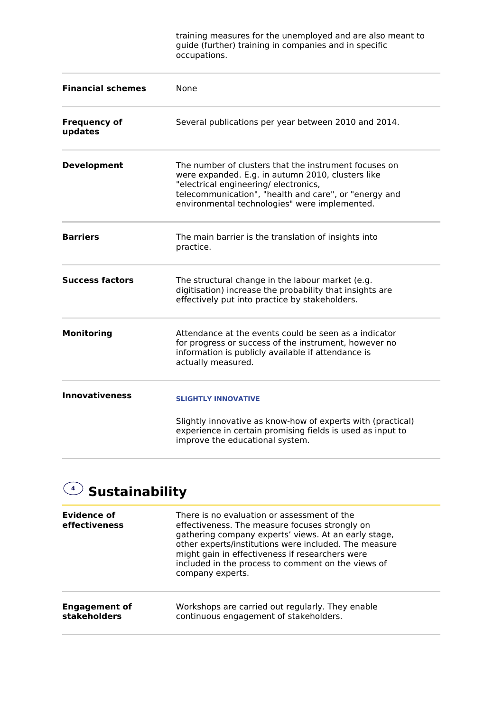training measures for the unemployed and are also meant to guide (further) training in companies and in specific occupations.

| <b>Financial schemes</b>       | <b>None</b>                                                                                                                                                                                                                                                  |
|--------------------------------|--------------------------------------------------------------------------------------------------------------------------------------------------------------------------------------------------------------------------------------------------------------|
| <b>Frequency of</b><br>updates | Several publications per year between 2010 and 2014.                                                                                                                                                                                                         |
| <b>Development</b>             | The number of clusters that the instrument focuses on<br>were expanded. E.g. in autumn 2010, clusters like<br>"electrical engineering/electronics,<br>telecommunication", "health and care", or "energy and<br>environmental technologies" were implemented. |
| <b>Barriers</b>                | The main barrier is the translation of insights into<br>practice.                                                                                                                                                                                            |
| <b>Success factors</b>         | The structural change in the labour market (e.g.<br>digitisation) increase the probability that insights are<br>effectively put into practice by stakeholders.                                                                                               |
| <b>Monitoring</b>              | Attendance at the events could be seen as a indicator<br>for progress or success of the instrument, however no<br>information is publicly available if attendance is<br>actually measured.                                                                   |
| <b>Innovativeness</b>          | <b>SLIGHTLY INNOVATIVE</b>                                                                                                                                                                                                                                   |
|                                | Slightly innovative as know-how of experts with (practical)<br>experience in certain promising fields is used as input to<br>improve the educational system.                                                                                                 |

## **4 Sustainability**

| Evidence of<br>effectiveness | There is no evaluation or assessment of the<br>effectiveness. The measure focuses strongly on<br>gathering company experts' views. At an early stage,<br>other experts/institutions were included. The measure<br>might gain in effectiveness if researchers were<br>included in the process to comment on the views of<br>company experts. |
|------------------------------|---------------------------------------------------------------------------------------------------------------------------------------------------------------------------------------------------------------------------------------------------------------------------------------------------------------------------------------------|
| <b>Engagement of</b>         | Workshops are carried out regularly. They enable                                                                                                                                                                                                                                                                                            |
| <b>stakeholders</b>          | continuous engagement of stakeholders.                                                                                                                                                                                                                                                                                                      |